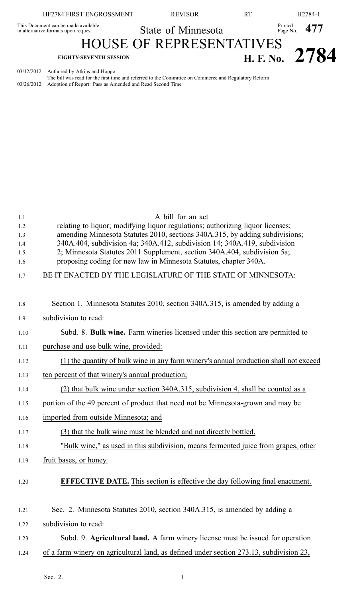| HF2784 FIRST ENGROSSMENT                                                   | <b>REVISOR</b>                  | <b>RT</b> |                           | H <sub>2784-1</sub> |
|----------------------------------------------------------------------------|---------------------------------|-----------|---------------------------|---------------------|
| This Document can be made available<br>in alternative formats upon request | State of Minnesota              |           | $P_{\text{Page No.}}$ 477 |                     |
|                                                                            | <b>HOUSE OF REPRESENTATIVES</b> |           |                           |                     |
| <b>EIGHTY-SEVENTH SESSION</b>                                              |                                 |           |                           | H. F. No. 2784      |
| 03/12/2012 Authored by Atkins and Hoppe                                    |                                 |           |                           |                     |

The bill was read for the first time and referred to the Committee on Commerce and Regulatory Reform 03/26/2012 Adoption of Report: Pass as Amended and Read Second Time

| 1.1        | A bill for an act                                                                                                                             |
|------------|-----------------------------------------------------------------------------------------------------------------------------------------------|
| 1.2        | relating to liquor; modifying liquor regulations; authorizing liquor licenses;                                                                |
| 1.3        | amending Minnesota Statutes 2010, sections 340A.315, by adding subdivisions;                                                                  |
| 1.4        | 340A.404, subdivision 4a; 340A.412, subdivision 14; 340A.419, subdivision                                                                     |
| 1.5<br>1.6 | 2; Minnesota Statutes 2011 Supplement, section 340A.404, subdivision 5a;<br>proposing coding for new law in Minnesota Statutes, chapter 340A. |
|            |                                                                                                                                               |
| 1.7        | BE IT ENACTED BY THE LEGISLATURE OF THE STATE OF MINNESOTA:                                                                                   |
|            |                                                                                                                                               |
| 1.8        | Section 1. Minnesota Statutes 2010, section 340A.315, is amended by adding a                                                                  |
| 1.9        | subdivision to read:                                                                                                                          |
| 1.10       | Subd. 8. Bulk wine. Farm wineries licensed under this section are permitted to                                                                |
| 1.11       | purchase and use bulk wine, provided:                                                                                                         |
| 1.12       | (1) the quantity of bulk wine in any farm winery's annual production shall not exceed                                                         |
| 1.13       | ten percent of that winery's annual production;                                                                                               |
| 1.14       | (2) that bulk wine under section 340A.315, subdivision 4, shall be counted as a                                                               |
| 1.15       | portion of the 49 percent of product that need not be Minnesota-grown and may be                                                              |
| 1.16       | imported from outside Minnesota; and                                                                                                          |
| 1.17       | (3) that the bulk wine must be blended and not directly bottled.                                                                              |
| 1.18       | "Bulk wine," as used in this subdivision, means fermented juice from grapes, other                                                            |
| 1.19       | fruit bases, or honey.                                                                                                                        |
|            | <b>EFFECTIVE DATE.</b> This section is effective the day following final enactment.                                                           |
| 1.20       |                                                                                                                                               |
|            |                                                                                                                                               |
| 1.21       | Sec. 2. Minnesota Statutes 2010, section 340A.315, is amended by adding a                                                                     |
| 1.22       | subdivision to read:                                                                                                                          |
| 1.23       | Subd. 9. Agricultural land. A farm winery license must be issued for operation                                                                |
| 1.24       | of a farm winery on agricultural land, as defined under section 273.13, subdivision 23,                                                       |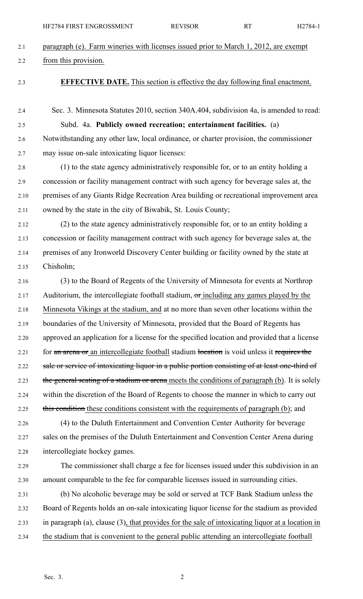| 2.1  | paragraph (e). Farm wineries with licenses issued prior to March 1, 2012, are exempt             |
|------|--------------------------------------------------------------------------------------------------|
| 2.2  | from this provision.                                                                             |
| 2.3  | <b>EFFECTIVE DATE.</b> This section is effective the day following final enactment.              |
| 2.4  | Sec. 3. Minnesota Statutes 2010, section 340A.404, subdivision 4a, is amended to read:           |
| 2.5  | Subd. 4a. Publicly owned recreation; entertainment facilities. (a)                               |
| 2.6  | Notwithstanding any other law, local ordinance, or charter provision, the commissioner           |
| 2.7  | may issue on-sale intoxicating liquor licenses:                                                  |
| 2.8  | (1) to the state agency administratively responsible for, or to an entity holding a              |
| 2.9  | concession or facility management contract with such agency for beverage sales at, the           |
| 2.10 | premises of any Giants Ridge Recreation Area building or recreational improvement area           |
| 2.11 | owned by the state in the city of Biwabik, St. Louis County;                                     |
| 2.12 | (2) to the state agency administratively responsible for, or to an entity holding a              |
| 2.13 | concession or facility management contract with such agency for beverage sales at, the           |
| 2.14 | premises of any Ironworld Discovery Center building or facility owned by the state at            |
| 2.15 | Chisholm;                                                                                        |
| 2.16 | (3) to the Board of Regents of the University of Minnesota for events at Northrop                |
| 2.17 | Auditorium, the intercollegiate football stadium, $\sigma$ r including any games played by the   |
| 2.18 | Minnesota Vikings at the stadium, and at no more than seven other locations within the           |
| 2.19 | boundaries of the University of Minnesota, provided that the Board of Regents has                |
| 2.20 | approved an application for a license for the specified location and provided that a license     |
| 2.21 | for an arcna or an intercollegiate football stadium location is void unless it requires the      |
| 2.22 | sale or service of intoxicating liquor in a public portion consisting of at least one-third of   |
| 2.23 | the general seating of a stadium or arena meets the conditions of paragraph (b). It is solely    |
| 2.24 | within the discretion of the Board of Regents to choose the manner in which to carry out         |
| 2.25 | this condition these conditions consistent with the requirements of paragraph (b); and           |
| 2.26 | (4) to the Duluth Entertainment and Convention Center Authority for beverage                     |
| 2.27 | sales on the premises of the Duluth Entertainment and Convention Center Arena during             |
| 2.28 | intercollegiate hockey games.                                                                    |
| 2.29 | The commissioner shall charge a fee for licenses issued under this subdivision in an             |
| 2.30 | amount comparable to the fee for comparable licenses issued in surrounding cities.               |
| 2.31 | (b) No alcoholic beverage may be sold or served at TCF Bank Stadium unless the                   |
| 2.32 | Board of Regents holds an on-sale intoxicating liquor license for the stadium as provided        |
| 2.33 | in paragraph (a), clause (3), that provides for the sale of intoxicating liquor at a location in |
| 2.34 | the stadium that is convenient to the general public attending an intercollegiate football       |

HF2784 FIRST ENGROSSMENT REVISOR RT H2784-1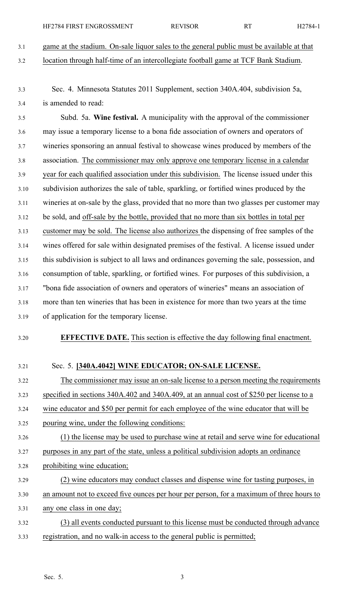3.1 game at the stadium. On-sale liquor sales to the general public must be available at that 3.2 location through half-time of an intercollegiate football game at TCF Bank Stadium.

3.3 Sec. 4. Minnesota Statutes 2011 Supplement, section 340A.404, subdivision 5a, 3.4 is amended to read:

3.5 Subd. 5a. **Wine festival.** A municipality with the approval of the commissioner 3.6 may issue <sup>a</sup> temporary license to <sup>a</sup> bona fide association of owners and operators of 3.7 wineries sponsoring an annual festival to showcase wines produced by members of the 3.8 association. The commissioner may only approve one temporary license in <sup>a</sup> calendar 3.9 year for each qualified association under this subdivision. The license issued under this 3.10 subdivision authorizes the sale of table, sparkling, or fortified wines produced by the 3.11 wineries at on-sale by the glass, provided that no more than two glasses per customer may 3.12 be sold, and off-sale by the bottle, provided that no more than six bottles in total per 3.13 customer may be sold. The license also authorizes the dispensing of free samples of the 3.14 wines offered for sale within designated premises of the festival. A license issued under 3.15 this subdivision is subject to all laws and ordinances governing the sale, possession, and 3.16 consumption of table, sparkling, or fortified wines. For purposes of this subdivision, <sup>a</sup> 3.17 "bona fide association of owners and operators of wineries" means an association of 3.18 more than ten wineries that has been in existence for more than two years at the time 3.19 of application for the temporary license.

3.20 **EFFECTIVE DATE.** This section is effective the day following final enactment.

## 3.21 Sec. 5. **[340A.4042] WINE EDUCATOR; ON-SALE LICENSE.**

3.22 The commissioner may issue an on-sale license to <sup>a</sup> person meeting the requirements

3.23 specified in sections 340A.402 and 340A.409, at an annual cost of \$250 per license to <sup>a</sup>

- 3.24 wine educator and \$50 per permit for each employee of the wine educator that will be
- 3.25 pouring wine, under the following conditions:
- 3.26 (1) the license may be used to purchase wine at retail and serve wine for educational
- 3.27 purposes in any par<sup>t</sup> of the state, unless <sup>a</sup> political subdivision adopts an ordinance
- 3.28 prohibiting wine education;
- 3.29 (2) wine educators may conduct classes and dispense wine for tasting purposes, in
- 3.30 an amount not to exceed five ounces per hour per person, for <sup>a</sup> maximum of three hours to 3.31 any one class in one day;
- 3.32 (3) all events conducted pursuan<sup>t</sup> to this license must be conducted through advance 3.33 registration, and no walk-in access to the general public is permitted;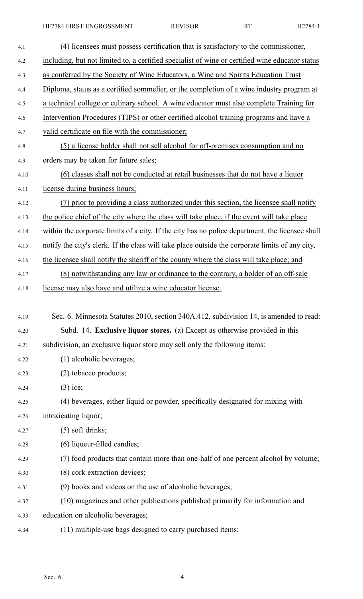| 4.1<br>4.2<br>as conferred by the Society of Wine Educators, a Wine and Spirits Education Trust<br>4.3<br>4.4<br>4.5<br>Intervention Procedures (TIPS) or other certified alcohol training programs and have a<br>4.6<br>valid certificate on file with the commissioner;<br>4.7<br>4.8<br>orders may be taken for future sales;<br>4.9<br>4.10<br>license during business hours;<br>4.11<br>4.12<br>the police chief of the city where the class will take place, if the event will take place<br>4.13<br>4.14<br>4.15<br>the licensee shall notify the sheriff of the county where the class will take place; and<br>4.16<br>4.17<br>license may also have and utilize a wine educator license.<br>4.18<br>4.19<br>4.20<br>subdivision, an exclusive liquor store may sell only the following items:<br>4.21<br>(1) alcoholic beverages;<br>4.22<br>(2) tobacco products;<br>4.23<br>$(3)$ ice;<br>4.24<br>4.25<br>intoxicating liquor;<br>4.26<br>$(5)$ soft drinks;<br>4.27<br>(6) liqueur-filled candies;<br>4.28<br>4.29<br>(8) cork extraction devices;<br>4.30<br>(9) books and videos on the use of alcoholic beverages;<br>4.31<br>4.32<br>education on alcoholic beverages;<br>4.33 |                                                                                                 |
|------------------------------------------------------------------------------------------------------------------------------------------------------------------------------------------------------------------------------------------------------------------------------------------------------------------------------------------------------------------------------------------------------------------------------------------------------------------------------------------------------------------------------------------------------------------------------------------------------------------------------------------------------------------------------------------------------------------------------------------------------------------------------------------------------------------------------------------------------------------------------------------------------------------------------------------------------------------------------------------------------------------------------------------------------------------------------------------------------------------------------------------------------------------------------------------------|-------------------------------------------------------------------------------------------------|
|                                                                                                                                                                                                                                                                                                                                                                                                                                                                                                                                                                                                                                                                                                                                                                                                                                                                                                                                                                                                                                                                                                                                                                                                | (4) licensees must possess certification that is satisfactory to the commissioner,              |
|                                                                                                                                                                                                                                                                                                                                                                                                                                                                                                                                                                                                                                                                                                                                                                                                                                                                                                                                                                                                                                                                                                                                                                                                | including, but not limited to, a certified specialist of wine or certified wine educator status |
|                                                                                                                                                                                                                                                                                                                                                                                                                                                                                                                                                                                                                                                                                                                                                                                                                                                                                                                                                                                                                                                                                                                                                                                                |                                                                                                 |
|                                                                                                                                                                                                                                                                                                                                                                                                                                                                                                                                                                                                                                                                                                                                                                                                                                                                                                                                                                                                                                                                                                                                                                                                | Diploma, status as a certified sommelier, or the completion of a wine industry program at       |
|                                                                                                                                                                                                                                                                                                                                                                                                                                                                                                                                                                                                                                                                                                                                                                                                                                                                                                                                                                                                                                                                                                                                                                                                | a technical college or culinary school. A wine educator must also complete Training for         |
|                                                                                                                                                                                                                                                                                                                                                                                                                                                                                                                                                                                                                                                                                                                                                                                                                                                                                                                                                                                                                                                                                                                                                                                                |                                                                                                 |
|                                                                                                                                                                                                                                                                                                                                                                                                                                                                                                                                                                                                                                                                                                                                                                                                                                                                                                                                                                                                                                                                                                                                                                                                |                                                                                                 |
|                                                                                                                                                                                                                                                                                                                                                                                                                                                                                                                                                                                                                                                                                                                                                                                                                                                                                                                                                                                                                                                                                                                                                                                                | (5) a license holder shall not sell alcohol for off-premises consumption and no                 |
|                                                                                                                                                                                                                                                                                                                                                                                                                                                                                                                                                                                                                                                                                                                                                                                                                                                                                                                                                                                                                                                                                                                                                                                                |                                                                                                 |
|                                                                                                                                                                                                                                                                                                                                                                                                                                                                                                                                                                                                                                                                                                                                                                                                                                                                                                                                                                                                                                                                                                                                                                                                | (6) classes shall not be conducted at retail businesses that do not have a liquor               |
|                                                                                                                                                                                                                                                                                                                                                                                                                                                                                                                                                                                                                                                                                                                                                                                                                                                                                                                                                                                                                                                                                                                                                                                                |                                                                                                 |
|                                                                                                                                                                                                                                                                                                                                                                                                                                                                                                                                                                                                                                                                                                                                                                                                                                                                                                                                                                                                                                                                                                                                                                                                | (7) prior to providing a class authorized under this section, the licensee shall notify         |
|                                                                                                                                                                                                                                                                                                                                                                                                                                                                                                                                                                                                                                                                                                                                                                                                                                                                                                                                                                                                                                                                                                                                                                                                |                                                                                                 |
|                                                                                                                                                                                                                                                                                                                                                                                                                                                                                                                                                                                                                                                                                                                                                                                                                                                                                                                                                                                                                                                                                                                                                                                                | within the corporate limits of a city. If the city has no police department, the licensee shall |
|                                                                                                                                                                                                                                                                                                                                                                                                                                                                                                                                                                                                                                                                                                                                                                                                                                                                                                                                                                                                                                                                                                                                                                                                | notify the city's clerk. If the class will take place outside the corporate limits of any city, |
|                                                                                                                                                                                                                                                                                                                                                                                                                                                                                                                                                                                                                                                                                                                                                                                                                                                                                                                                                                                                                                                                                                                                                                                                |                                                                                                 |
|                                                                                                                                                                                                                                                                                                                                                                                                                                                                                                                                                                                                                                                                                                                                                                                                                                                                                                                                                                                                                                                                                                                                                                                                | (8) notwithstanding any law or ordinance to the contrary, a holder of an off-sale               |
|                                                                                                                                                                                                                                                                                                                                                                                                                                                                                                                                                                                                                                                                                                                                                                                                                                                                                                                                                                                                                                                                                                                                                                                                |                                                                                                 |
|                                                                                                                                                                                                                                                                                                                                                                                                                                                                                                                                                                                                                                                                                                                                                                                                                                                                                                                                                                                                                                                                                                                                                                                                |                                                                                                 |
|                                                                                                                                                                                                                                                                                                                                                                                                                                                                                                                                                                                                                                                                                                                                                                                                                                                                                                                                                                                                                                                                                                                                                                                                | Sec. 6. Minnesota Statutes 2010, section 340A.412, subdivision 14, is amended to read:          |
|                                                                                                                                                                                                                                                                                                                                                                                                                                                                                                                                                                                                                                                                                                                                                                                                                                                                                                                                                                                                                                                                                                                                                                                                | Subd. 14. Exclusive liquor stores. (a) Except as otherwise provided in this                     |
|                                                                                                                                                                                                                                                                                                                                                                                                                                                                                                                                                                                                                                                                                                                                                                                                                                                                                                                                                                                                                                                                                                                                                                                                |                                                                                                 |
|                                                                                                                                                                                                                                                                                                                                                                                                                                                                                                                                                                                                                                                                                                                                                                                                                                                                                                                                                                                                                                                                                                                                                                                                |                                                                                                 |
|                                                                                                                                                                                                                                                                                                                                                                                                                                                                                                                                                                                                                                                                                                                                                                                                                                                                                                                                                                                                                                                                                                                                                                                                |                                                                                                 |
|                                                                                                                                                                                                                                                                                                                                                                                                                                                                                                                                                                                                                                                                                                                                                                                                                                                                                                                                                                                                                                                                                                                                                                                                |                                                                                                 |
|                                                                                                                                                                                                                                                                                                                                                                                                                                                                                                                                                                                                                                                                                                                                                                                                                                                                                                                                                                                                                                                                                                                                                                                                | (4) beverages, either liquid or powder, specifically designated for mixing with                 |
|                                                                                                                                                                                                                                                                                                                                                                                                                                                                                                                                                                                                                                                                                                                                                                                                                                                                                                                                                                                                                                                                                                                                                                                                |                                                                                                 |
|                                                                                                                                                                                                                                                                                                                                                                                                                                                                                                                                                                                                                                                                                                                                                                                                                                                                                                                                                                                                                                                                                                                                                                                                |                                                                                                 |
|                                                                                                                                                                                                                                                                                                                                                                                                                                                                                                                                                                                                                                                                                                                                                                                                                                                                                                                                                                                                                                                                                                                                                                                                |                                                                                                 |
|                                                                                                                                                                                                                                                                                                                                                                                                                                                                                                                                                                                                                                                                                                                                                                                                                                                                                                                                                                                                                                                                                                                                                                                                | (7) food products that contain more than one-half of one percent alcohol by volume;             |
|                                                                                                                                                                                                                                                                                                                                                                                                                                                                                                                                                                                                                                                                                                                                                                                                                                                                                                                                                                                                                                                                                                                                                                                                |                                                                                                 |
|                                                                                                                                                                                                                                                                                                                                                                                                                                                                                                                                                                                                                                                                                                                                                                                                                                                                                                                                                                                                                                                                                                                                                                                                |                                                                                                 |
|                                                                                                                                                                                                                                                                                                                                                                                                                                                                                                                                                                                                                                                                                                                                                                                                                                                                                                                                                                                                                                                                                                                                                                                                | (10) magazines and other publications published primarily for information and                   |
|                                                                                                                                                                                                                                                                                                                                                                                                                                                                                                                                                                                                                                                                                                                                                                                                                                                                                                                                                                                                                                                                                                                                                                                                |                                                                                                 |
| (11) multiple-use bags designed to carry purchased items;<br>4.34                                                                                                                                                                                                                                                                                                                                                                                                                                                                                                                                                                                                                                                                                                                                                                                                                                                                                                                                                                                                                                                                                                                              |                                                                                                 |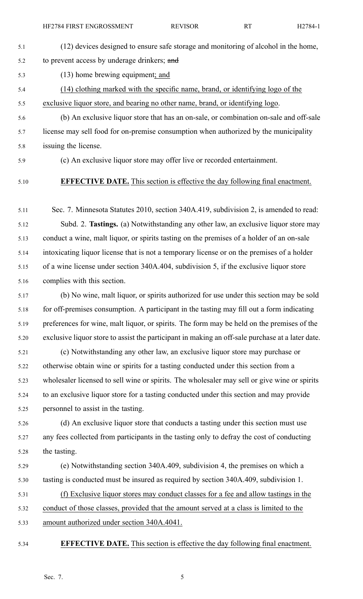- 5.1 (12) devices designed to ensure safe storage and monitoring of alcohol in the home, 5.2 to prevent access by underage drinkers; and 5.3 (13) home brewing equipment; and 5.4 (14) clothing marked with the specific name, brand, or identifying logo of the
- 5.5 exclusive liquor store, and bearing no other name, brand, or identifying logo.
- 5.6 (b) An exclusive liquor store that has an on-sale, or combination on-sale and off-sale 5.7 license may sell food for on-premise consumption when authorized by the municipality 5.8 issuing the license.

5.9 (c) An exclusive liquor store may offer live or recorded entertainment.

## 5.10 **EFFECTIVE DATE.** This section is effective the day following final enactment.

5.11 Sec. 7. Minnesota Statutes 2010, section 340A.419, subdivision 2, is amended to read: 5.12 Subd. 2. **Tastings.** (a) Notwithstanding any other law, an exclusive liquor store may 5.13 conduct <sup>a</sup> wine, malt liquor, or spirits tasting on the premises of <sup>a</sup> holder of an on-sale 5.14 intoxicating liquor license that is not <sup>a</sup> temporary license or on the premises of <sup>a</sup> holder 5.15 of <sup>a</sup> wine license under section 340A.404, subdivision 5, if the exclusive liquor store 5.16 complies with this section.

- 5.17 (b) No wine, malt liquor, or spirits authorized for use under this section may be sold 5.18 for off-premises consumption. A participant in the tasting may fill out a form indicating 5.19 preferences for wine, malt liquor, or spirits. The form may be held on the premises of the 5.20 exclusive liquor store to assist the participant in making an off-sale purchase at <sup>a</sup> later date.
- 5.21 (c) Notwithstanding any other law, an exclusive liquor store may purchase or 5.22 otherwise obtain wine or spirits for <sup>a</sup> tasting conducted under this section from <sup>a</sup> 5.23 wholesaler licensed to sell wine or spirits. The wholesaler may sell or give wine or spirits 5.24 to an exclusive liquor store for <sup>a</sup> tasting conducted under this section and may provide 5.25 personnel to assist in the tasting.
- 5.26 (d) An exclusive liquor store that conducts <sup>a</sup> tasting under this section must use 5.27 any fees collected from participants in the tasting only to defray the cost of conducting 5.28 the tasting.
- 5.29 (e) Notwithstanding section 340A.409, subdivision 4, the premises on which <sup>a</sup> 5.30 tasting is conducted must be insured as required by section 340A.409, subdivision 1.
- 5.31 (f) Exclusive liquor stores may conduct classes for <sup>a</sup> fee and allow tastings in the 5.32 conduct of those classes, provided that the amount served at <sup>a</sup> class is limited to the 5.33 amount authorized under section 340A.4041.

$$
5, 34
$$

5.34 **EFFECTIVE DATE.** This section is effective the day following final enactment.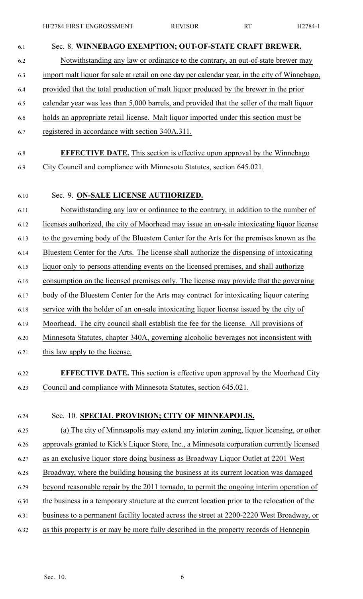| 6.1  | Sec. 8. WINNEBAGO EXEMPTION; OUT-OF-STATE CRAFT BREWER.                                       |
|------|-----------------------------------------------------------------------------------------------|
| 6.2  | Notwithstanding any law or ordinance to the contrary, an out-of-state brewer may              |
| 6.3  | import malt liquor for sale at retail on one day per calendar year, in the city of Winnebago, |
| 6.4  | provided that the total production of malt liquor produced by the brewer in the prior         |
| 6.5  | calendar year was less than 5,000 barrels, and provided that the seller of the malt liquor    |
| 6.6  | holds an appropriate retail license. Malt liquor imported under this section must be          |
| 6.7  | registered in accordance with section 340A.311.                                               |
| 6.8  | <b>EFFECTIVE DATE.</b> This section is effective upon approval by the Winnebago               |
| 6.9  | City Council and compliance with Minnesota Statutes, section 645.021.                         |
| 6.10 | Sec. 9. ON-SALE LICENSE AUTHORIZED.                                                           |
| 6.11 | Notwithstanding any law or ordinance to the contrary, in addition to the number of            |
| 6.12 | licenses authorized, the city of Moorhead may issue an on-sale intoxicating liquor license    |
| 6.13 | to the governing body of the Bluestem Center for the Arts for the premises known as the       |
| 6.14 | Bluestem Center for the Arts. The license shall authorize the dispensing of intoxicating      |
| 6.15 | liquor only to persons attending events on the licensed premises, and shall authorize         |
| 6.16 | consumption on the licensed premises only. The license may provide that the governing         |
| 6.17 | body of the Bluestem Center for the Arts may contract for intoxicating liquor catering        |
| 6.18 | service with the holder of an on-sale intoxicating liquor license issued by the city of       |
| 6.19 | Moorhead. The city council shall establish the fee for the license. All provisions of         |
| 6.20 | Minnesota Statutes, chapter 340A, governing alcoholic beverages not inconsistent with         |
| 6.21 | this law apply to the license.                                                                |
| 6.22 | <b>EFFECTIVE DATE.</b> This section is effective upon approval by the Moorhead City           |
| 6.23 | Council and compliance with Minnesota Statutes, section 645.021.                              |
| 6.24 | Sec. 10. SPECIAL PROVISION; CITY OF MINNEAPOLIS.                                              |
| 6.25 | (a) The city of Minneapolis may extend any interim zoning, liquor licensing, or other         |
| 6.26 | approvals granted to Kick's Liquor Store, Inc., a Minnesota corporation currently licensed    |
| 6.27 | as an exclusive liquor store doing business as Broadway Liquor Outlet at 2201 West            |
| 6.28 | Broadway, where the building housing the business at its current location was damaged         |
| 6.29 | beyond reasonable repair by the 2011 tornado, to permit the ongoing interim operation of      |
| 6.30 | the business in a temporary structure at the current location prior to the relocation of the  |
| 6.31 | business to a permanent facility located across the street at 2200-2220 West Broadway, or     |
| 6.32 | as this property is or may be more fully described in the property records of Hennepin        |